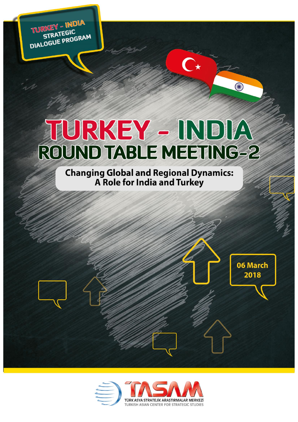TURKEY - INDIA STRATEGIC DIALOGUE PROGRAM

# TURKEY - INDIA **ROUND TABLE MEETING-2**

**Changing Global and Regional Dynamics:** A Role for India and Turkey

06 March

2018

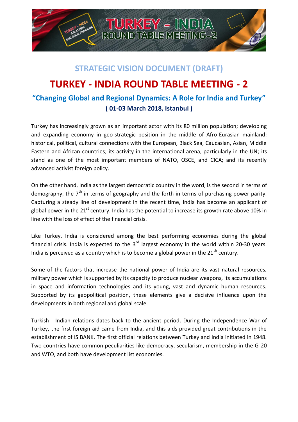

## **STRATEGIC VISION DOCUMENT (DRAFT)**

## **TURKEY - INDIA ROUND TABLE MEETING - 2 "Changing Global and Regional Dynamics: A Role for India and Turkey" ( 01-03 March 2018, Istanbul )**

Turkey has increasingly grown as an important actor with its 80 million population; developing and expanding economy in geo-strategic position in the middle of Afro-Eurasian mainland; historical, political, cultural connections with the European, Black Sea, Caucasian, Asian, Middle Eastern and African countries; its activity in the international arena, particularly in the UN; its stand as one of the most important members of NATO, OSCE, and CICA; and its recently advanced activist foreign policy.

On the other hand, India as the largest democratic country in the word, is the second in terms of demography, the 7<sup>th</sup> in terms of geography and the forth in terms of purchasing power parity. Capturing a steady line of development in the recent time, India has become an applicant of global power in the 21<sup>st</sup> century. India has the potential to increase its growth rate above 10% in line with the loss of effect of the financial crisis.

Like Turkey, India is considered among the best performing economies during the global financial crisis. India is expected to the  $3<sup>rd</sup>$  largest economy in the world within 20-30 years. India is perceived as a country which is to become a global power in the  $21<sup>th</sup>$  century.

Some of the factors that increase the national power of India are its vast natural resources, military power which is supported by its capacity to produce nuclear weapons, its accumulations in space and information technologies and its young, vast and dynamic human resources. Supported by its geopolitical position, these elements give a decisive influence upon the developments in both regional and global scale.

Turkish - Indian relations dates back to the ancient period. During the Independence War of Turkey, the first foreign aid came from India, and this aids provided great contributions in the establishment of IS BANK. The first official relations between Turkey and India initiated in 1948. Two countries have common peculiarities like democracy, secularism, membership in the G-20 and WTO, and both have development list economies.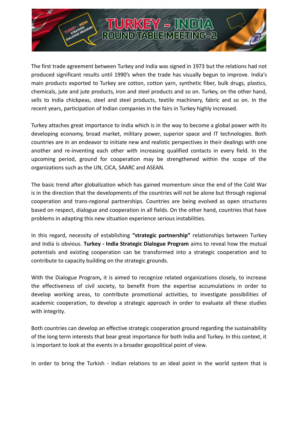The first trade agreement between Turkey and India was signed in 1973 but the relations had not produced significant results until 1990's when the trade has visually begun to improve. India's main products exported to Turkey are cotton, cotton yarn, synthetic fiber, bulk drugs, plastics, chemicals, jute and jute products, iron and steel products and so on. Turkey, on the other hand, sells to India chickpeas, steel and steel products, textile machinery, fabric and so on. In the recent years, participation of Indian companies in the fairs in Turkey highly increased.

Turkey attaches great importance to India which is in the way to become a global power with its developing economy, broad market, military power, superior space and IT technologies. Both countries are in an endeavor to initiate new and realistic perspectives in their dealings with one another and re-inventing each other with increasing qualified contacts in every field. In the upcoming period, ground for cooperation may be strengthened within the scope of the organizations such as the UN, CICA, SAARC and ASEAN.

The basic trend after globalization which has gained momentum since the end of the Cold War is in the direction that the developments of the countries will not be alone but through regional cooperation and trans-regional partnerships. Countries are being evolved as open structures based on respect, dialogue and cooperation in all fields. On the other hand, countries that have problems in adapting this new situation experience serious instabilities.

In this regard, necessity of establishing **"strategic partnership"** relationships between Turkey and India is obvious. **Turkey - India Strategic Dialogue Program** aims to reveal how the mutual potentials and existing cooperation can be transformed into a strategic cooperation and to contribute to capacity building on the strategic grounds.

With the Dialogue Program**,** it is aimed to recognize related organizations closely, to increase the effectiveness of civil society, to benefit from the expertise accumulations in order to develop working areas, to contribute promotional activities, to investigate possibilities of academic cooperation, to develop a strategic approach in order to evaluate all these studies with integrity.

Both countries can develop an effective strategic cooperation ground regarding the sustainability of the long term interests that bear great importance for both India and Turkey. In this context, it is important to look at the events in a broader geopolitical point of view.

In order to bring the Turkish - Indian relations to an ideal point in the world system that is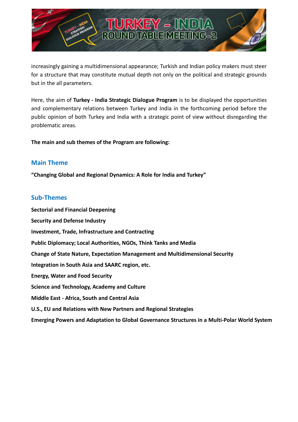

increasingly gaining a multidimensional appearance; Turkish and Indian policy makers must steer for a structure that may constitute mutual depth not only on the political and strategic grounds but in the all parameters.

Here, the aim of **Turkey - India Strategic Dialogue Program** is to be displayed the opportunities and complementary relations between Turkey and India in the forthcoming period before the public opinion of both Turkey and India with a strategic point of view without disregarding the problematic areas.

**The main and sub themes of the Program are following:**

## **Main Theme**

**"Changing Global and Regional Dynamics: A Role for India and Turkey"**

## **Sub-Themes**

**Sectorial and Financial Deepening Security and Defense Industry Investment, Trade, Infrastructure and Contracting Public Diplomacy; Local Authorities, NGOs, Think Tanks and Media Change of State Nature, Expectation Management and Multidimensional Security Integration in South Asia and SAARC region, etc. Energy, Water and Food Security Science and Technology, Academy and Culture Middle East - Africa, South and Central Asia U.S., EU and Relations with New Partners and Regional Strategies** 

**Emerging Powers and Adaptation to Global Governance Structures in a Multi-Polar World System**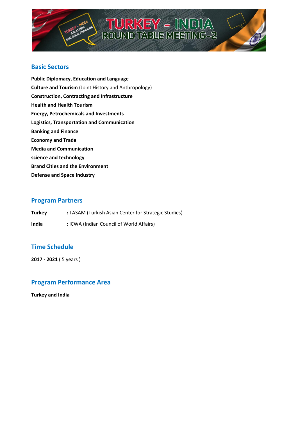

# **TURKEY - INDIA**<br>ROUND TABLE MEETING-2

## **Basic Sectors**

**Public Diplomacy, Education and Language Culture and Tourism** (Joint History and Anthropology) **Construction, Contracting and Infrastructure Health and Health Tourism Energy, Petrochemicals and Investments Logistics, Transportation and Communication Banking and Finance Economy and Trade Media and Communication science and technology Brand Cities and the Environment Defense and Space Industry**

### **Program Partners**

| <b>Turkey</b> | : TASAM (Turkish Asian Center for Strategic Studies) |
|---------------|------------------------------------------------------|
| India         | : ICWA (Indian Council of World Affairs)             |

## **Time Schedule**

**2017 - 2021** ( 5 years )

## **Program Performance Area**

**Turkey and India**